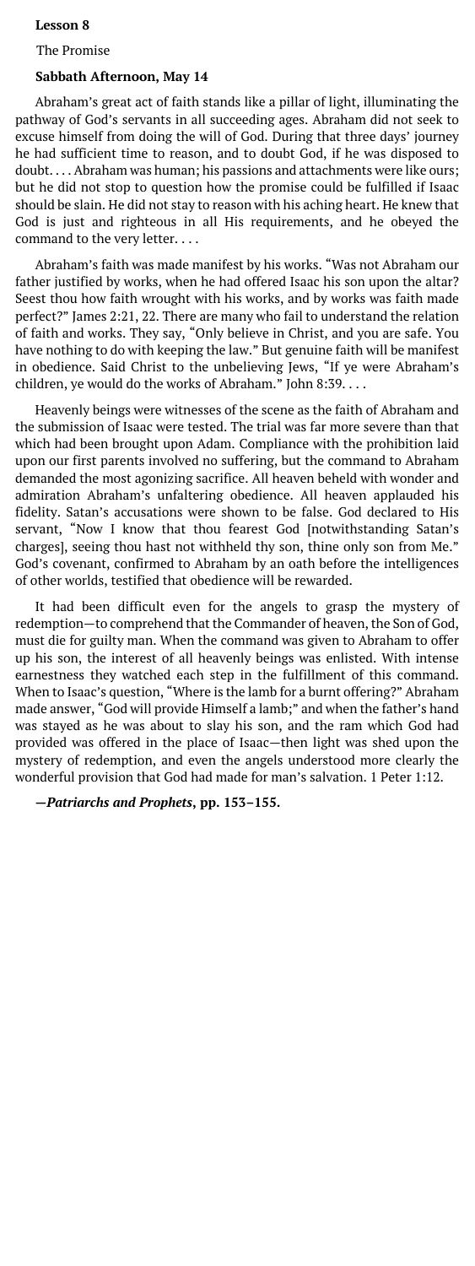# **Lesson 8**

# The Promise

# **Sabbath Afternoon, May 14**

Abraham's great act of faith stands like a pillar of light, illuminating the pathway of God's servants in all succeeding ages. Abraham did not seek to excuse himself from doing the will of God. During that three days' journey he had sufficient time to reason, and to doubt God, if he was disposed to doubt. . . . Abraham was human; his passions and attachments were like ours; but he did not stop to question how the promise could be fulfilled if Isaac should be slain. He did not stay to reason with his aching heart. He knew that God is just and righteous in all His requirements, and he obeyed the command to the very letter. . . .

Abraham's faith was made manifest by his works. "Was not Abraham our father justified by works, when he had offered Isaac his son upon the altar? Seest thou how faith wrought with his works, and by works was faith made perfect?" James 2:21, 22. There are many who fail to understand the relation of faith and works. They say, "Only believe in Christ, and you are safe. You have nothing to do with keeping the law." But genuine faith will be manifest in obedience. Said Christ to the unbelieving Jews, "If ye were Abraham's children, ye would do the works of Abraham." John 8:39. . . .

Heavenly beings were witnesses of the scene as the faith of Abraham and the submission of Isaac were tested. The trial was far more severe than that which had been brought upon Adam. Compliance with the prohibition laid upon our first parents involved no suffering, but the command to Abraham demanded the most agonizing sacrifice. All heaven beheld with wonder and admiration Abraham's unfaltering obedience. All heaven applauded his fidelity. Satan's accusations were shown to be false. God declared to His servant, "Now I know that thou fearest God [notwithstanding Satan's charges], seeing thou hast not withheld thy son, thine only son from Me." God's covenant, confirmed to Abraham by an oath before the intelligences of other worlds, testified that obedience will be rewarded.

It had been difficult even for the angels to grasp the mystery of redemption—to comprehend that the Commander of heaven, the Son of God, must die for guilty man. When the command was given to Abraham to offer up his son, the interest of all heavenly beings was enlisted. With intense earnestness they watched each step in the fulfillment of this command. When to Isaac's question, "Where is the lamb for a burnt offering?" Abraham made answer, "God will provide Himself a lamb;" and when the father's hand was stayed as he was about to slay his son, and the ram which God had provided was offered in the place of Isaac—then light was shed upon the mystery of redemption, and even the angels understood more clearly the wonderful provision that God had made for man's salvation. 1 Peter 1:12.

**—***Patriarchs and Prophets***, pp. 153–155.**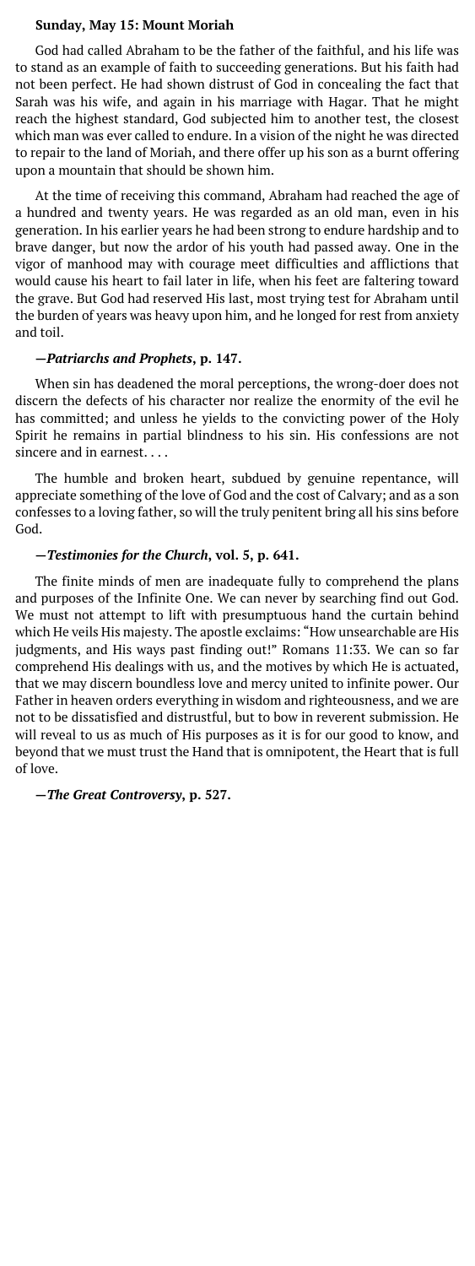# **Sunday, May 15: Mount Moriah**

God had called Abraham to be the father of the faithful, and his life was to stand as an example of faith to succeeding generations. But his faith had not been perfect. He had shown distrust of God in concealing the fact that Sarah was his wife, and again in his marriage with Hagar. That he might reach the highest standard, God subjected him to another test, the closest which man was ever called to endure. In a vision of the night he was directed to repair to the land of Moriah, and there offer up his son as a burnt offering upon a mountain that should be shown him.

At the time of receiving this command, Abraham had reached the age of a hundred and twenty years. He was regarded as an old man, even in his generation. In his earlier years he had been strong to endure hardship and to brave danger, but now the ardor of his youth had passed away. One in the vigor of manhood may with courage meet difficulties and afflictions that would cause his heart to fail later in life, when his feet are faltering toward the grave. But God had reserved His last, most trying test for Abraham until the burden of years was heavy upon him, and he longed for rest from anxiety and toil.

# **—***Patriarchs and Prophets***, p. 147.**

When sin has deadened the moral perceptions, the wrong-doer does not discern the defects of his character nor realize the enormity of the evil he has committed; and unless he yields to the convicting power of the Holy Spirit he remains in partial blindness to his sin. His confessions are not sincere and in earnest. . . .

The humble and broken heart, subdued by genuine repentance, will appreciate something of the love of God and the cost of Calvary; and as a son confesses to a loving father, so will the truly penitent bring all his sins before God.

# **—***Testimonies for the Church***, vol. 5, p. 641.**

The finite minds of men are inadequate fully to comprehend the plans and purposes of the Infinite One. We can never by searching find out God. We must not attempt to lift with presumptuous hand the curtain behind which He veils His majesty. The apostle exclaims: "How unsearchable are His judgments, and His ways past finding out!" Romans 11:33. We can so far comprehend His dealings with us, and the motives by which He is actuated, that we may discern boundless love and mercy united to infinite power. Our Father in heaven orders everything in wisdom and righteousness, and we are not to be dissatisfied and distrustful, but to bow in reverent submission. He will reveal to us as much of His purposes as it is for our good to know, and beyond that we must trust the Hand that is omnipotent, the Heart that is full of love.

**—***The Great Controversy***, p. 527.**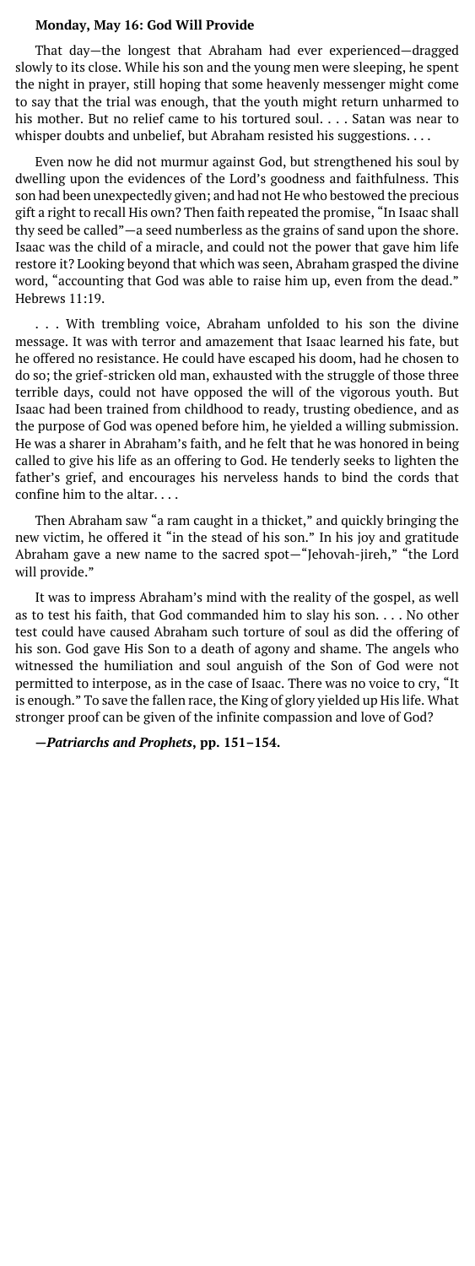#### **Monday, May 16: God Will Provide**

That day—the longest that Abraham had ever experienced—dragged slowly to its close. While his son and the young men were sleeping, he spent the night in prayer, still hoping that some heavenly messenger might come to say that the trial was enough, that the youth might return unharmed to his mother. But no relief came to his tortured soul. . . . Satan was near to whisper doubts and unbelief, but Abraham resisted his suggestions. . . .

Even now he did not murmur against God, but strengthened his soul by dwelling upon the evidences of the Lord's goodness and faithfulness. This son had been unexpectedly given; and had not He who bestowed the precious gift a right to recall His own? Then faith repeated the promise, "In Isaac shall thy seed be called"—a seed numberless as the grains of sand upon the shore. Isaac was the child of a miracle, and could not the power that gave him life restore it? Looking beyond that which was seen, Abraham grasped the divine word, "accounting that God was able to raise him up, even from the dead." Hebrews 11:19.

. . . With trembling voice, Abraham unfolded to his son the divine message. It was with terror and amazement that Isaac learned his fate, but he offered no resistance. He could have escaped his doom, had he chosen to do so; the grief-stricken old man, exhausted with the struggle of those three terrible days, could not have opposed the will of the vigorous youth. But Isaac had been trained from childhood to ready, trusting obedience, and as the purpose of God was opened before him, he yielded a willing submission. He was a sharer in Abraham's faith, and he felt that he was honored in being called to give his life as an offering to God. He tenderly seeks to lighten the father's grief, and encourages his nerveless hands to bind the cords that confine him to the altar. . . .

Then Abraham saw "a ram caught in a thicket," and quickly bringing the new victim, he offered it "in the stead of his son." In his joy and gratitude Abraham gave a new name to the sacred spot—"Jehovah-jireh," "the Lord will provide."

It was to impress Abraham's mind with the reality of the gospel, as well as to test his faith, that God commanded him to slay his son. . . . No other test could have caused Abraham such torture of soul as did the offering of his son. God gave His Son to a death of agony and shame. The angels who witnessed the humiliation and soul anguish of the Son of God were not permitted to interpose, as in the case of Isaac. There was no voice to cry, "It is enough." To save the fallen race, the King of glory yielded up His life. What stronger proof can be given of the infinite compassion and love of God?

**—***Patriarchs and Prophets***, pp. 151–154.**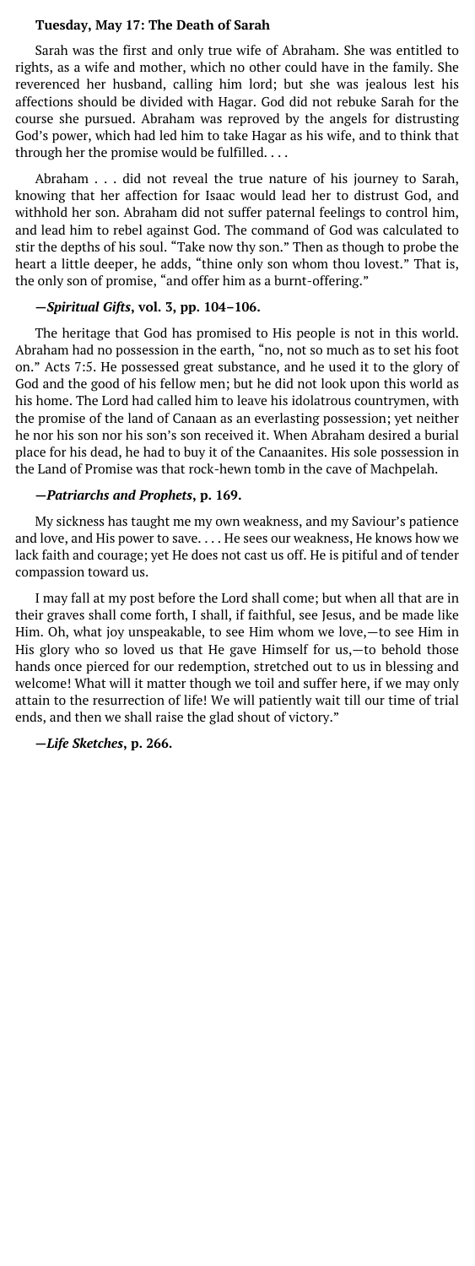#### **Tuesday, May 17: The Death of Sarah**

Sarah was the first and only true wife of Abraham. She was entitled to rights, as a wife and mother, which no other could have in the family. She reverenced her husband, calling him lord; but she was jealous lest his affections should be divided with Hagar. God did not rebuke Sarah for the course she pursued. Abraham was reproved by the angels for distrusting God's power, which had led him to take Hagar as his wife, and to think that through her the promise would be fulfilled. . . .

Abraham . . . did not reveal the true nature of his journey to Sarah, knowing that her affection for Isaac would lead her to distrust God, and withhold her son. Abraham did not suffer paternal feelings to control him, and lead him to rebel against God. The command of God was calculated to stir the depths of his soul. "Take now thy son." Then as though to probe the heart a little deeper, he adds, "thine only son whom thou lovest." That is, the only son of promise, "and offer him as a burnt-offering."

#### **—***Spiritual Gifts***, vol. 3, pp. 104–106.**

The heritage that God has promised to His people is not in this world. Abraham had no possession in the earth, "no, not so much as to set his foot on." Acts 7:5. He possessed great substance, and he used it to the glory of God and the good of his fellow men; but he did not look upon this world as his home. The Lord had called him to leave his idolatrous countrymen, with the promise of the land of Canaan as an everlasting possession; yet neither he nor his son nor his son's son received it. When Abraham desired a burial place for his dead, he had to buy it of the Canaanites. His sole possession in the Land of Promise was that rock-hewn tomb in the cave of Machpelah.

#### **—***Patriarchs and Prophets***, p. 169.**

My sickness has taught me my own weakness, and my Saviour's patience and love, and His power to save. . . . He sees our weakness, He knows how we lack faith and courage; yet He does not cast us off. He is pitiful and of tender compassion toward us.

I may fall at my post before the Lord shall come; but when all that are in their graves shall come forth, I shall, if faithful, see Jesus, and be made like Him. Oh, what joy unspeakable, to see Him whom we love,—to see Him in His glory who so loved us that He gave Himself for us,—to behold those hands once pierced for our redemption, stretched out to us in blessing and welcome! What will it matter though we toil and suffer here, if we may only attain to the resurrection of life! We will patiently wait till our time of trial ends, and then we shall raise the glad shout of victory."

#### **—***Life Sketches***, p. 266.**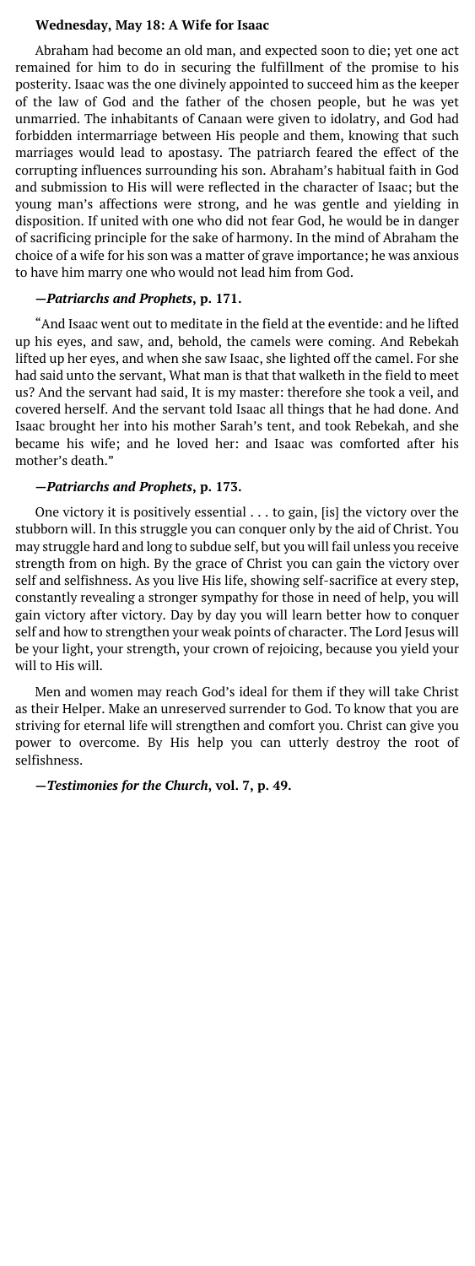## **Wednesday, May 18: A Wife for Isaac**

Abraham had become an old man, and expected soon to die; yet one act remained for him to do in securing the fulfillment of the promise to his posterity. Isaac was the one divinely appointed to succeed him as the keeper of the law of God and the father of the chosen people, but he was yet unmarried. The inhabitants of Canaan were given to idolatry, and God had forbidden intermarriage between His people and them, knowing that such marriages would lead to apostasy. The patriarch feared the effect of the corrupting influences surrounding his son. Abraham's habitual faith in God and submission to His will were reflected in the character of Isaac; but the young man's affections were strong, and he was gentle and yielding in disposition. If united with one who did not fear God, he would be in danger of sacrificing principle for the sake of harmony. In the mind of Abraham the choice of a wife for his son was a matter of grave importance; he was anxious to have him marry one who would not lead him from God.

# **—***Patriarchs and Prophets***, p. 171.**

"And Isaac went out to meditate in the field at the eventide: and he lifted up his eyes, and saw, and, behold, the camels were coming. And Rebekah lifted up her eyes, and when she saw Isaac, she lighted off the camel. For she had said unto the servant, What man is that that walketh in the field to meet us? And the servant had said, It is my master: therefore she took a veil, and covered herself. And the servant told Isaac all things that he had done. And Isaac brought her into his mother Sarah's tent, and took Rebekah, and she became his wife; and he loved her: and Isaac was comforted after his mother's death."

#### **—***Patriarchs and Prophets***, p. 173.**

One victory it is positively essential . . . to gain, [is] the victory over the stubborn will. In this struggle you can conquer only by the aid of Christ. You may struggle hard and long to subdue self, but you will fail unless you receive strength from on high. By the grace of Christ you can gain the victory over self and selfishness. As you live His life, showing self-sacrifice at every step, constantly revealing a stronger sympathy for those in need of help, you will gain victory after victory. Day by day you will learn better how to conquer self and how to strengthen your weak points of character. The Lord Jesus will be your light, your strength, your crown of rejoicing, because you yield your will to His will.

Men and women may reach God's ideal for them if they will take Christ as their Helper. Make an unreserved surrender to God. To know that you are striving for eternal life will strengthen and comfort you. Christ can give you power to overcome. By His help you can utterly destroy the root of selfishness.

**—***Testimonies for the Church***, vol. 7, p. 49.**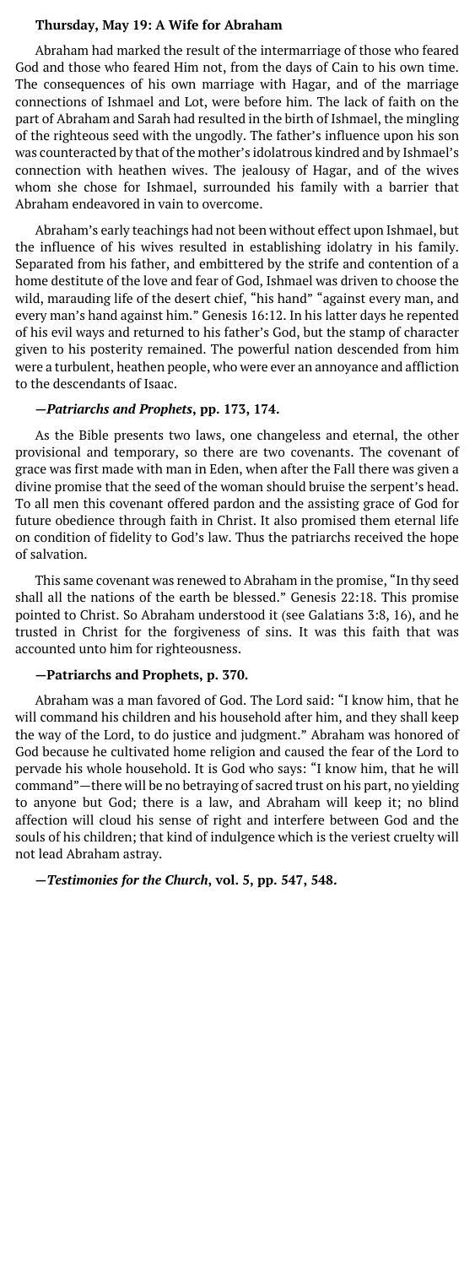#### **Thursday, May 19: A Wife for Abraham**

Abraham had marked the result of the intermarriage of those who feared God and those who feared Him not, from the days of Cain to his own time. The consequences of his own marriage with Hagar, and of the marriage connections of Ishmael and Lot, were before him. The lack of faith on the part of Abraham and Sarah had resulted in the birth of Ishmael, the mingling of the righteous seed with the ungodly. The father's influence upon his son was counteracted by that of the mother's idolatrous kindred and by Ishmael's connection with heathen wives. The jealousy of Hagar, and of the wives whom she chose for Ishmael, surrounded his family with a barrier that Abraham endeavored in vain to overcome.

Abraham's early teachings had not been without effect upon Ishmael, but the influence of his wives resulted in establishing idolatry in his family. Separated from his father, and embittered by the strife and contention of a home destitute of the love and fear of God, Ishmael was driven to choose the wild, marauding life of the desert chief, "his hand" "against every man, and every man's hand against him." Genesis 16:12. In his latter days he repented of his evil ways and returned to his father's God, but the stamp of character given to his posterity remained. The powerful nation descended from him were a turbulent, heathen people, who were ever an annoyance and affliction to the descendants of Isaac.

# **—***Patriarchs and Prophets***, pp. 173, 174.**

As the Bible presents two laws, one changeless and eternal, the other provisional and temporary, so there are two covenants. The covenant of grace was first made with man in Eden, when after the Fall there was given a divine promise that the seed of the woman should bruise the serpent's head. To all men this covenant offered pardon and the assisting grace of God for future obedience through faith in Christ. It also promised them eternal life on condition of fidelity to God's law. Thus the patriarchs received the hope of salvation.

This same covenant was renewed to Abraham in the promise, "In thy seed shall all the nations of the earth be blessed." Genesis 22:18. This promise pointed to Christ. So Abraham understood it (see Galatians 3:8, 16), and he trusted in Christ for the forgiveness of sins. It was this faith that was accounted unto him for righteousness.

#### **—Patriarchs and Prophets, p. 370.**

Abraham was a man favored of God. The Lord said: "I know him, that he will command his children and his household after him, and they shall keep the way of the Lord, to do justice and judgment." Abraham was honored of God because he cultivated home religion and caused the fear of the Lord to pervade his whole household. It is God who says: "I know him, that he will command"—there will be no betraying of sacred trust on his part, no yielding to anyone but God; there is a law, and Abraham will keep it; no blind affection will cloud his sense of right and interfere between God and the souls of his children; that kind of indulgence which is the veriest cruelty will not lead Abraham astray.

**—***Testimonies for the Church***, vol. 5, pp. 547, 548.**